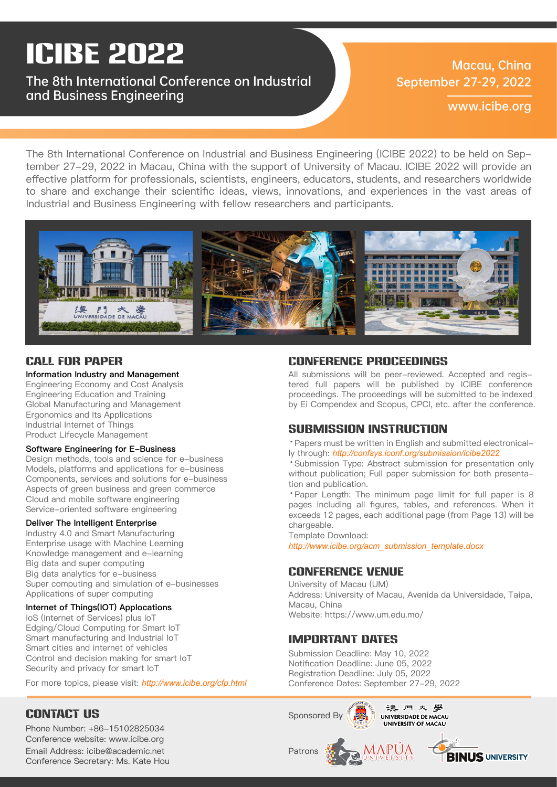# ICIBE 2022

### The 8th International Conference on Industrial and Business Engineering

### Macau, China September 27-29, 2022

www.icibe.org

The 8th International Conference on Industrial and Business Engineering (ICIBE 2022) to be held on September 27-29, 2022 in Macau, China with the support of University of Macau. ICIBE 2022 will provide an effective platform for professionals, scientists, engineers, educators, students, and researchers worldwide to share and exchange their scientific ideas, views, innovations, and experiences in the vast areas of Industrial and Business Engineering with fellow researchers and participants.



### Information Industry and Management

Engineering Economy and Cost Analysis Engineering Education and Training Global Manufacturing and Management Ergonomics and Its Applications Industrial Internet of Things Product Lifecycle Management

#### Software Engineering for E-Business

Design methods, tools and science for e-business Models, platforms and applications for e-business Components, services and solutions for e-business Aspects of green business and green commerce Cloud and mobile software engineering Service-oriented software engineering

#### Deliver The Intelligent Enterprise

Industry 4.0 and Smart Manufacturing Enterprise usage with Machine Learning Knowledge management and e-learning Big data and super computing Big data analytics for e-business Super computing and simulation of e-businesses Applications of super computing

### Internet of Things(IOT) Applocations

IoS (Internet of Services) plus IoT Edging/Cloud Computing for Smart IoT Smart manufacturing and Industrial IoT Smart cities and internet of vehicles Control and decision making for smart IoT Security and privacy for smart IoT

For more topics, please visit: *http://www.icibe.org/cfp.html*

### CONTACT US

Email Address: icibe@academic.net Conference Secretary: Ms. Kate Hou Phone Number: +86-15102825034 Conference website: www.icibe.org

### Call for Paper Conference Proceedings

All submissions will be peer-reviewed. Accepted and registered full papers will be published by ICIBE conference proceedings. The proceedings will be submitted to be indexed by Ei Compendex and Scopus, CPCI, etc. after the conference.

### SUBMISSION INSTRUCTION

·Papers must be written in English and submitted electronically through: *http://confsys.iconf.org/submission/icibe2022*

·Submission Type: Abstract submission for presentation only without publication; Full paper submission for both presentation and publication.

·Paper Length: The minimum page limit for full paper is 8 pages including all figures, tables, and references. When it exceeds 12 pages, each additional page (from Page 13) will be chargeable.

Template Download:

*http://www.icibe.org/acm\_submission\_template.docx*

### Conference Venue

University of Macau (UM) Address: University of Macau, Avenida da Universidade, Taipa, Macau, China Website: https://www.um.edu.mo/

### Important Dates

Submission Deadline: May 10, 2022 Notification Deadline: June 05, 2022 Registration Deadline: July 05, 2022 Conference Dates: September 27-29, 2022

![](_page_0_Picture_30.jpeg)